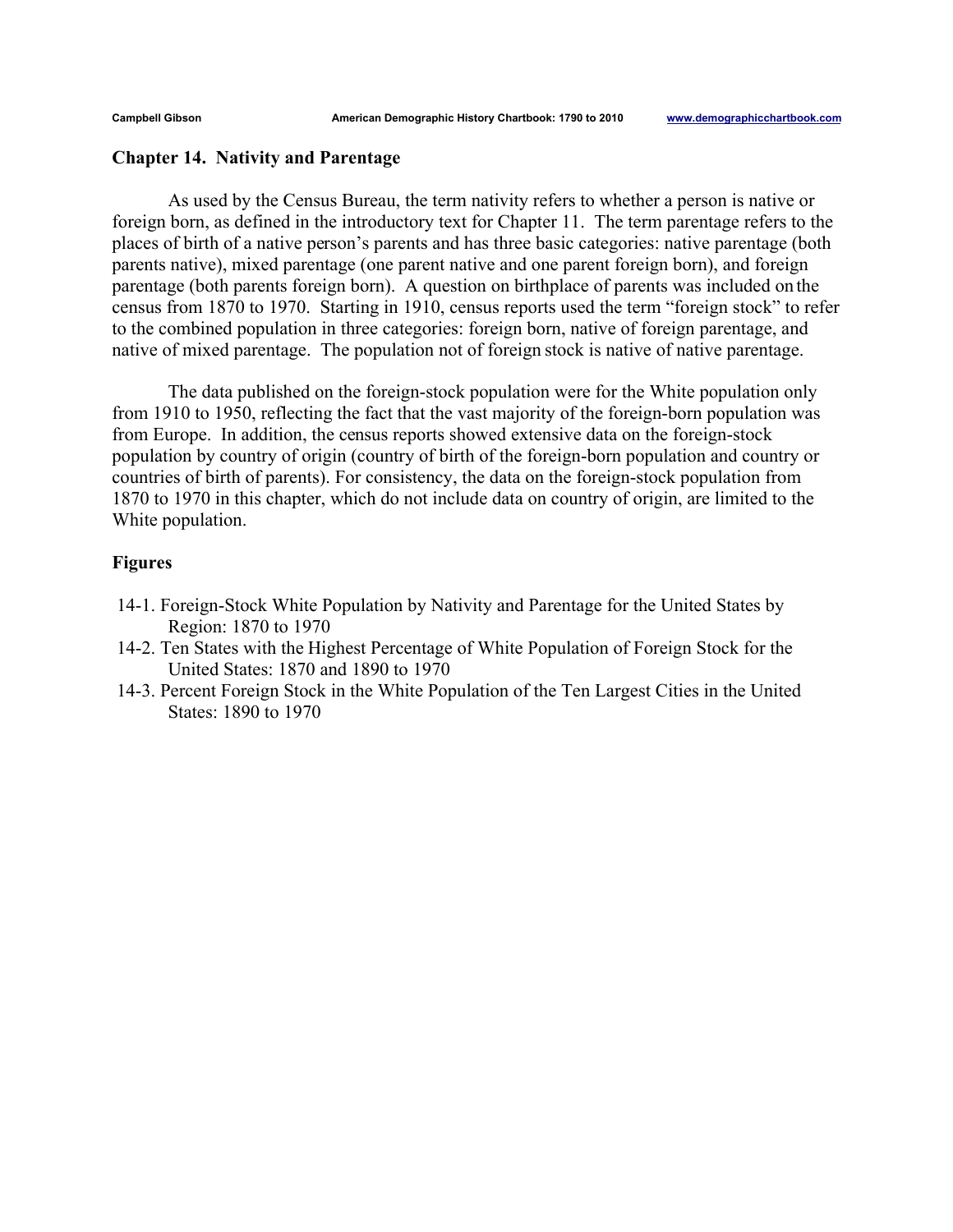## **Chapter 14. Nativity and Parentage**

As used by the Census Bureau, the term nativity refers to whether a person is native or foreign born, as defined in the introductory text for Chapter 11. The term parentage refers to the places of birth of a native person's parents and has three basic categories: native parentage (both parents native), mixed parentage (one parent native and one parent foreign born), and foreign parentage (both parents foreign born). A question on birthplace of parents was included on the census from 1870 to 1970. Starting in 1910, census reports used the term "foreign stock" to refer to the combined population in three categories: foreign born, native of foreign parentage, and native of mixed parentage. The population not of foreign stock is native of native parentage.

The data published on the foreign-stock population were for the White population only from 1910 to 1950, reflecting the fact that the vast majority of the foreign-born population was from Europe. In addition, the census reports showed extensive data on the foreign-stock population by country of origin (country of birth of the foreign-born population and country or countries of birth of parents). For consistency, the data on the foreign-stock population from 1870 to 1970 in this chapter, which do not include data on country of origin, are limited to the White population.

## **Figures**

- 14-1. Foreign-Stock White Population by Nativity and Parentage for the United States by Region: 1870 to 1970
- 14-2. Ten States with the Highest Percentage of White Population of Foreign Stock for the United States: 1870 and 1890 to 1970
- 14-3. Percent Foreign Stock in the White Population of the Ten Largest Cities in the United States: 1890 to 1970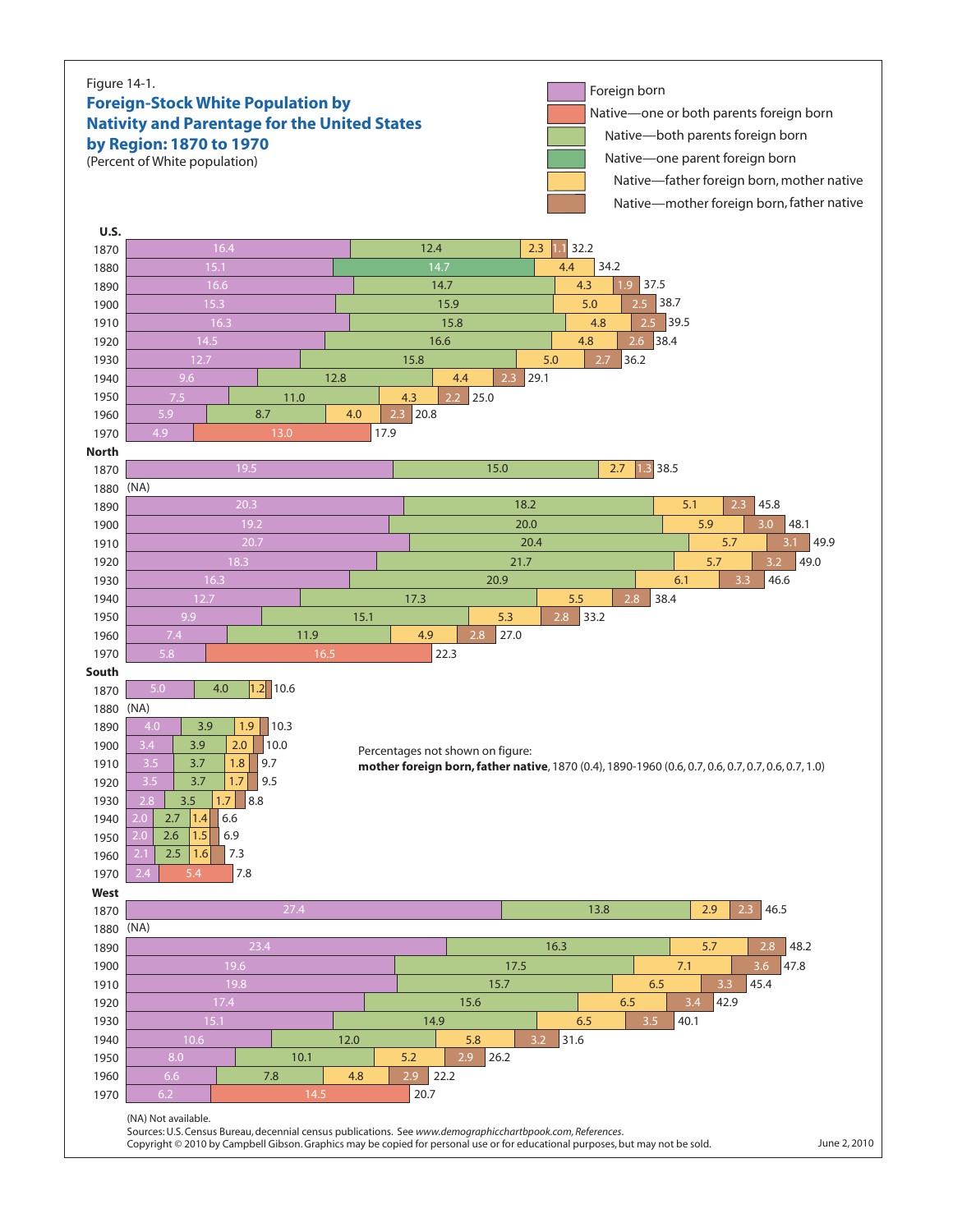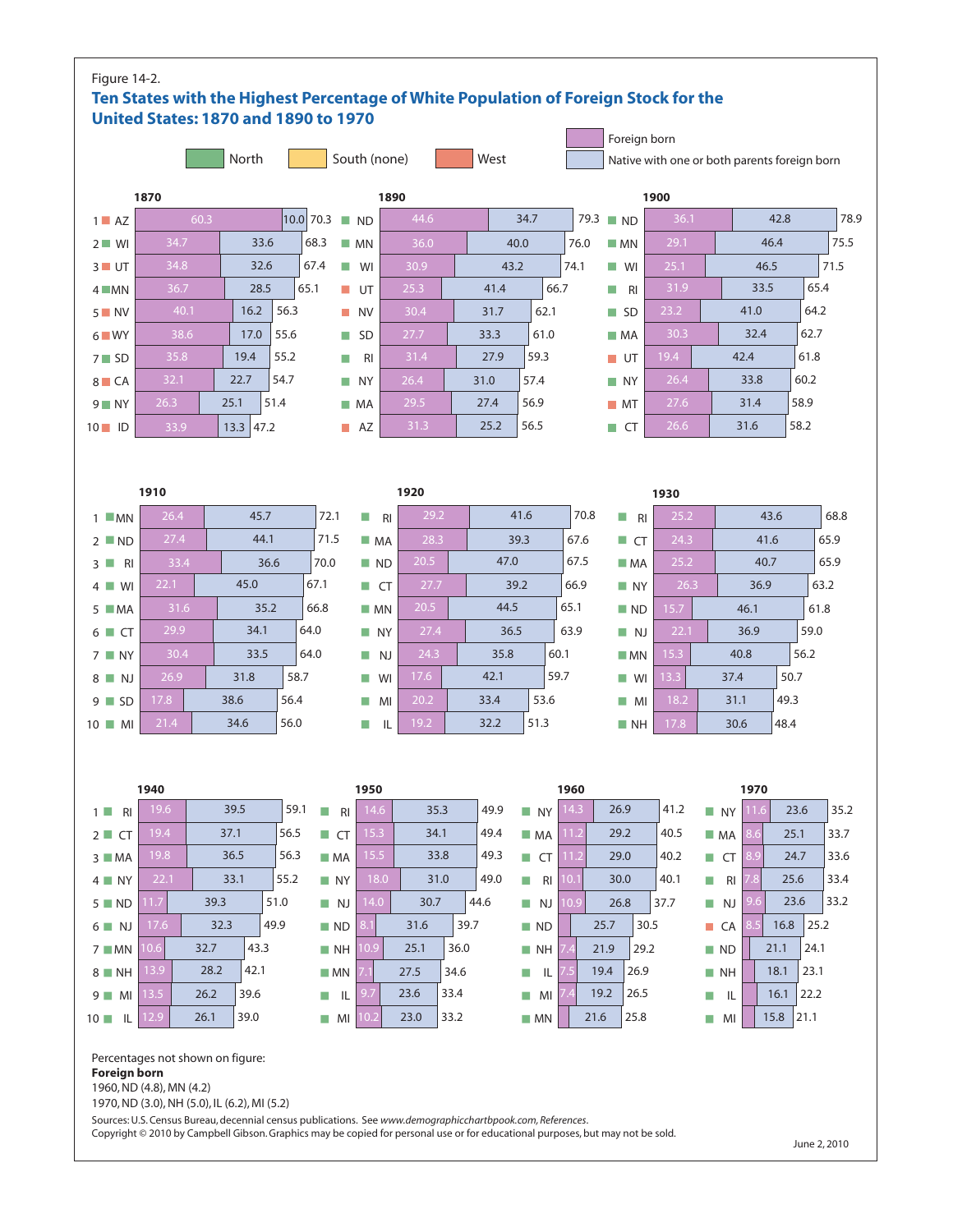